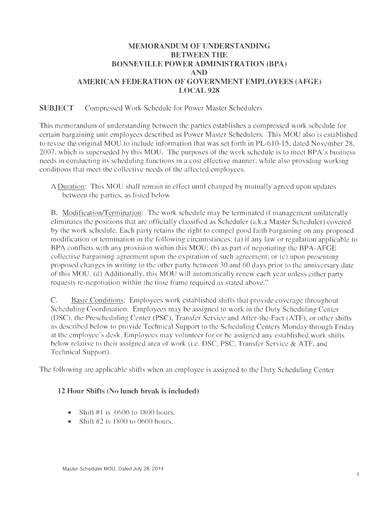# **MEMORANDUM OF UNDERSTANDING BETWEEN THE BONNEVILLE POWER ADMINISTRATION (BPA) AND AMERICAN FEDERATION OF GOVERNMENT EMPLOYEES (AFGE) LOCAL 928**

### **SUBJECT** Compressed Work Schedule for Power Master Schedulers

This memorandum of understanding between the parties establishes a compressed work schedule for certain bargaining unit employees described as Power Master Schedulers. This MOU also is established to revise the original MOU to include information that was set forth in PL-610-15, dated November 28, 2007, which is superseded by this MOU. The purposes of the work schedule is to meet BPA's business needs in conducting its scheduling functions in a cost effective manner, while also providing working conditions that meet the collective needs of the affected employees.

A Duration: This MOU shall remain in effect until changed by mutually agreed upon updates between the parties, as listed below

B. Modification/Termination: The work schedule may be terminated if management unilaterally eliminates the positions that are officially classified as Scheduler (a.k.a Master Scheduler) covered by the work schedule. Each party retains the right to compel good faith bargaining on any proposed modification or termination in the following circumstances: (a) if any law or regulation applicable to BPA conflicts with any provision within this  $MOU$ ; (b) as part of negotiating the BPA-AFGE collective bargaining agreement upon the expiration of such agreement; or (c) upon presenting proposed changes in writing to the other party between 30 and 60 days prior to the anniversary date of this MOU. (d) Additionally, this MOU will automatically renew each year unless either party requests re-negotiation within the time frame required as stated above."

C. Basic Conditions: Employees work established shifts that provide coverage throughout Scheduling Coordination. Employees may be assigned to work in the Duty Scheduling Center (DSC), the Prescheduling Center (PSC), Transfer Service and After-the-Fact (ATF), or other shifts as described below to provide Technical Support to the Scheduling Centers Monday through Friday at the employee's desk. Employees may volunteer for or be assigned any established work shifts below relative to their assigned area of work (i.e. DSC, PSC, Transfer Service & ATF, and Technical Support).

The following are applicable shifts when an employee is assigned to the Duty Scheduling Center

### **12 Hour Shifts** (No **lunch break is included)**

- Shift  $#1$  is 0600 to 1800 hours.
- Shift  $#2$  is 1800 to 0600 hours.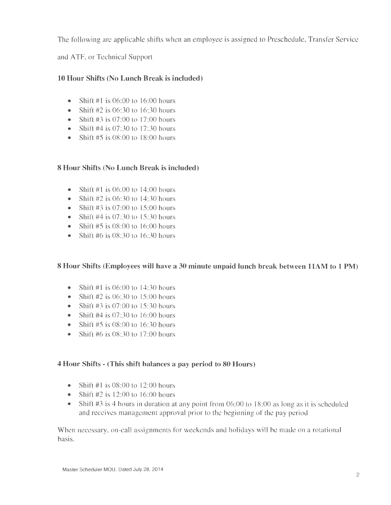The following are applicable shifts when an employee is assigned to Preschedule, Transfer Service

and ATF, or Technical Support

# **10 Hour Shifts (No Lunch Break is included)**

- Shift  $\#1$  is 06:00 to 16:00 hours
- Shift  $#2$  is 06:30 to 16:30 hours
- Shift  $#3$  is 07:00 to 17:00 hours
- Shift #4 is  $07:30$  to 17:30 hours
- Shift  $#5$  is 08:00 to 18:00 hours

# **8 Hour Shifts (No Lunch Break is included)**

- Shift  $#1$  is 06:00 to 14:00 hours
- Shift  $#2$  is 06:30 to 14:30 hours
- Shift  $#3$  is 07:00 to 15:00 hours
- Shift #4 is  $07:30$  to  $15:30$  hours
- Shift  $#5$  is 08:00 to 16:00 hours
- Shift #6 is  $08:30$  to 16:30 hours

# **8 Hour Shifts (Employees will have a 30 minute unpaid lunch break between HAM to 1 PM)**

- Shift #1 is 06:00 to 14:30 hours
- Shift  $#2$  is 06:30 to 15:00 hours
- Shift  $#3$  is 07:00 to 15:30 hours
- Shift  $#4$  is 07:30 to 16:00 hours
- Shift  $#5$  is 08:00 to 16:30 hours
- Shift #6 is  $08:30$  to 17:00 hours

### **4 Hour Shifts - (This shift balances a pay period to 80 Hours)**

- Shift  $\#1$  is 08:00 to 12:00 hours
- Shift  $#2$  is 12:00 to 16:00 hours
- Shift #3 is 4 hours in duration at any point from 06:00 to 18:00 as long as it is scheduled and receives management approval prior to the beginning of the pay period

When necessary, on-call assignments for weekends and holidays will be made on a rotational basis.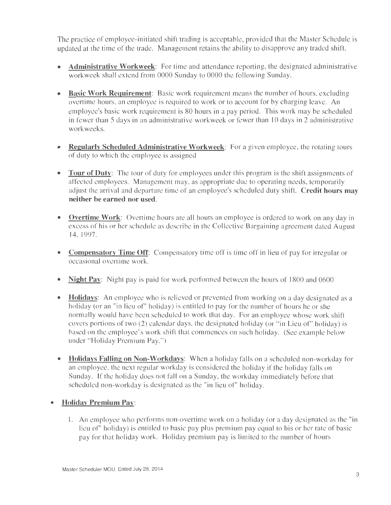The practice of employee-initiated shift trading is acceptable, provided that the Master Schedule is updated at the time of the trade. Management retains the ability to disapprove any traded shift.

- **Administrative Workweek**: For time and attendance reporting, the designated administrative workweek shall extend from 0000 Sunday to 0000 the following Sunday.
- **Basic Work Requirement:** Basic work requirement means the number of hours, excluding overtime hours, an employee is required to work or to account for by charging leave. An employee's basic work requirement is 80 hours in a pay period. This work may be scheduled in fewer than 5 days in an administrative workweek or fewer than 10 days in 2 administrative workweeks.
- **Regularly Scheduled Administrative Workweek:** For a given employee, the rotating tours of duty to which the employee is assigned
- **Tour of Duty:** The tour of duty for employees under this program is the shift assignments of affected employees. Management may, as appropriate due to operating needs, temporarily adjust the arrival and departure time of an employee's scheduled duty shift. **Credit hours may neither be earned nor used.**
- **Overtime Work:** Overtime hours are all hours an employee is ordered to work on any day in excess of his or her schedule as describe in the Collective Bargaining agreement dated August 14, 1997.
- **Compensatory Time Off:** Compensatory time off is time off in lieu of pay for irregular or occasional overtime work.
- **Night Pay:** Night pay is paid for work performed between the hours of 1800 and 0600
- **Holidays:** An employee who is relieved or prevented from working on a day designated as a holiday (or an "in lieu of" holiday) is entitled to pay for the number of hours he or she normally would have been scheduled to work that day. For an employee whose work shift covers portions of two (2) calendar days, the designated holiday (or "in Lieu of' holiday) is based on the employee's work shift that commences on such holiday. (See example below under "Holiday Premium Pay.")
- **Holidays Falling on Non-Workdays:** When a holiday falls on a scheduled non-workday for an employee, the next regular workday is considered the holiday if the holiday falls on Sunday. If the holiday does not fall on a Sunday, the workday immediately before that scheduled non-workday is designated as the "in lieu of' holiday.
- **Holiday Premium Pay:** 
	- 1. An employee who performs non-overtime work on a holiday (or a day designated as the "in lieu of' holiday) is entitled to basic pay plus premium pay equal to his or her rate of basic pay for that holiday work. Holiday premium pay is limited to the number of hours